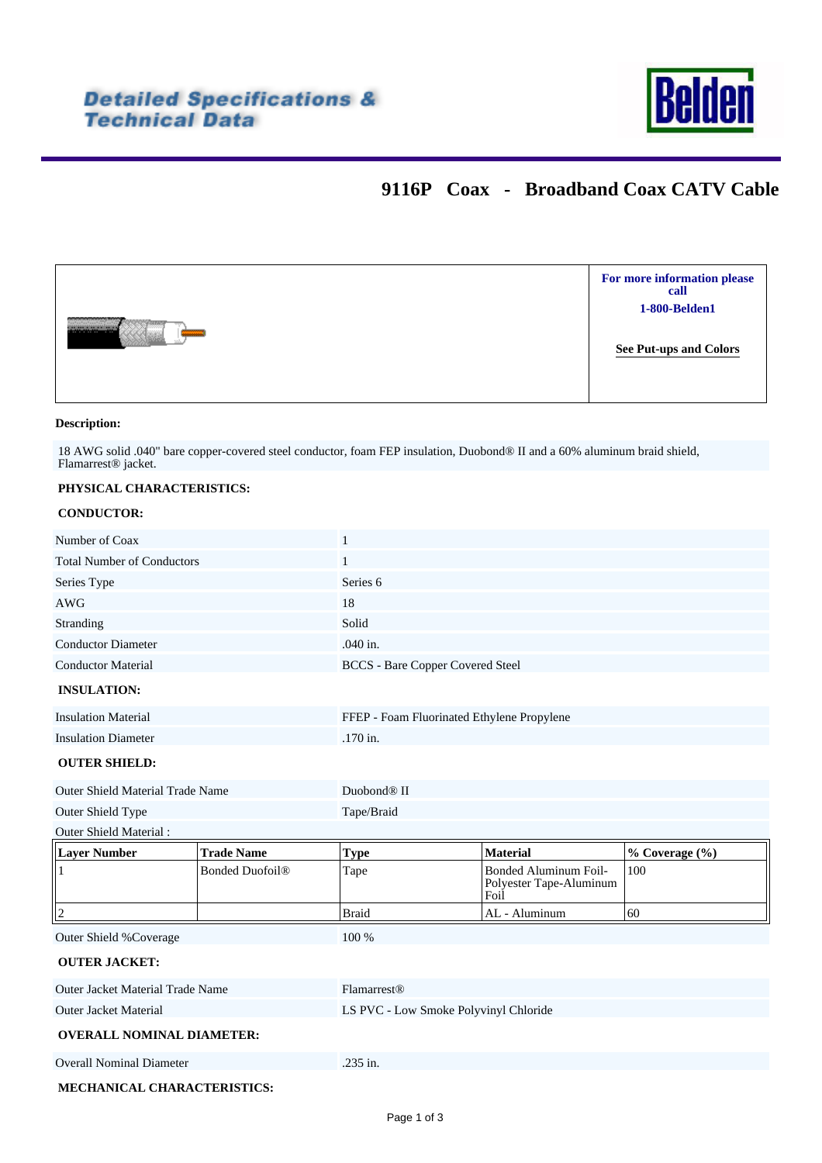

# **9116P Coax - Broadband Coax CATV Cable**



### **Description:**

18 AWG solid .040" bare copper-covered steel conductor, foam FEP insulation, Duobond® II and a 60% aluminum braid shield, Flamarrest® jacket.

### **PHYSICAL CHARACTERISTICS:**

### **CONDUCTOR:**

| Number of Coax                          |                        | $\mathbf{1}$            |                                                          |                |  |  |  |
|-----------------------------------------|------------------------|-------------------------|----------------------------------------------------------|----------------|--|--|--|
| <b>Total Number of Conductors</b>       |                        | $\mathbf{1}$            |                                                          |                |  |  |  |
| Series Type                             |                        | Series <sub>6</sub>     |                                                          |                |  |  |  |
| <b>AWG</b>                              |                        | 18                      |                                                          |                |  |  |  |
| Stranding                               |                        | Solid                   |                                                          |                |  |  |  |
| <b>Conductor Diameter</b>               |                        | .040 in.                |                                                          |                |  |  |  |
| <b>Conductor Material</b>               |                        |                         | <b>BCCS</b> - Bare Copper Covered Steel                  |                |  |  |  |
| <b>INSULATION:</b>                      |                        |                         |                                                          |                |  |  |  |
| <b>Insulation Material</b>              |                        |                         | FFEP - Foam Fluorinated Ethylene Propylene               |                |  |  |  |
| <b>Insulation Diameter</b>              |                        | .170 in.                |                                                          |                |  |  |  |
| <b>OUTER SHIELD:</b>                    |                        |                         |                                                          |                |  |  |  |
| Outer Shield Material Trade Name        |                        | Duobond <sup>®</sup> II |                                                          |                |  |  |  |
| Outer Shield Type                       |                        | Tape/Braid              |                                                          |                |  |  |  |
| Outer Shield Material:                  |                        |                         |                                                          |                |  |  |  |
| <b>Layer Number</b>                     | <b>Trade Name</b>      | <b>Type</b>             | <b>Material</b>                                          | % Coverage (%) |  |  |  |
| $\overline{1}$                          | <b>Bonded Duofoil®</b> | Tape                    | Bonded Aluminum Foil-<br>Polyester Tape-Aluminum<br>Foil | 100            |  |  |  |
| $\vert$ 2                               |                        | <b>Braid</b>            | AL - Aluminum                                            | 60             |  |  |  |
| Outer Shield %Coverage                  |                        | 100 %                   |                                                          |                |  |  |  |
| <b>OUTER JACKET:</b>                    |                        |                         |                                                          |                |  |  |  |
| <b>Outer Jacket Material Trade Name</b> |                        | Flamarrest <sup>®</sup> |                                                          |                |  |  |  |
| <b>Outer Jacket Material</b>            |                        |                         | LS PVC - Low Smoke Polyvinyl Chloride                    |                |  |  |  |
| <b>OVERALL NOMINAL DIAMETER:</b>        |                        |                         |                                                          |                |  |  |  |
| <b>Overall Nominal Diameter</b>         |                        | .235 in.                |                                                          |                |  |  |  |
| MECHANICAL CHARACTERISTICS:             |                        |                         |                                                          |                |  |  |  |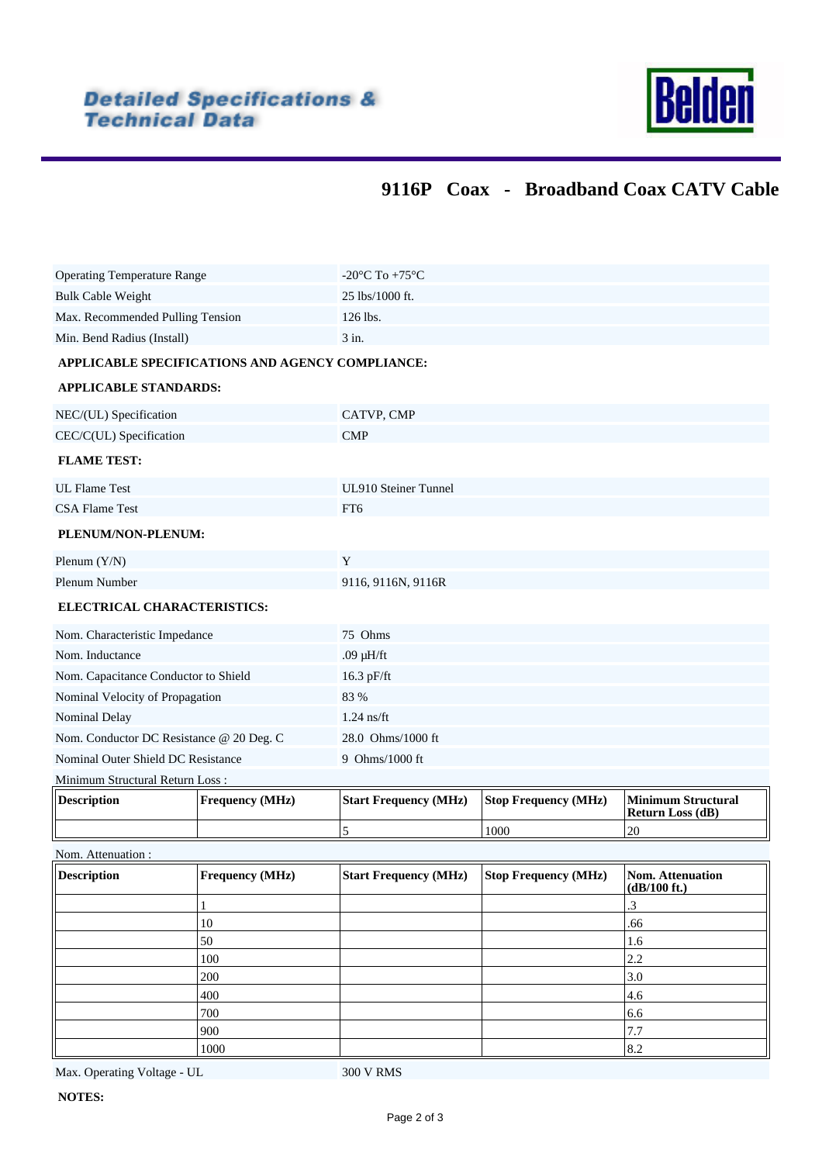

# **9116P Coax - Broadband Coax CATV Cable**

|                                                                       | 1000                   |                                                      |                             | 8.2                       |  |  |  |  |
|-----------------------------------------------------------------------|------------------------|------------------------------------------------------|-----------------------------|---------------------------|--|--|--|--|
|                                                                       | 900                    |                                                      |                             | 7.7                       |  |  |  |  |
|                                                                       | 700                    |                                                      |                             | 6.6                       |  |  |  |  |
|                                                                       | 400                    |                                                      |                             | 4.6                       |  |  |  |  |
|                                                                       | 200                    |                                                      |                             | 3.0                       |  |  |  |  |
|                                                                       | 100                    |                                                      |                             | 2.2                       |  |  |  |  |
|                                                                       | 50                     |                                                      |                             | 1.6                       |  |  |  |  |
|                                                                       | 1<br>10                |                                                      |                             | 3.<br>.66                 |  |  |  |  |
|                                                                       |                        |                                                      |                             | $(dB/100 \text{ ft.})$    |  |  |  |  |
| Nom. Attenuation :<br><b>Description</b>                              | <b>Frequency (MHz)</b> | <b>Start Frequency (MHz)</b>                         | <b>Stop Frequency (MHz)</b> | <b>Nom. Attenuation</b>   |  |  |  |  |
|                                                                       |                        | 5                                                    | 1000                        | 20                        |  |  |  |  |
|                                                                       |                        |                                                      |                             | <b>Return Loss (dB)</b>   |  |  |  |  |
| <b>Description</b>                                                    | Frequency (MHz)        | <b>Start Frequency (MHz)</b>                         | <b>Stop Frequency (MHz)</b> | <b>Minimum Structural</b> |  |  |  |  |
| Nominal Outer Shield DC Resistance<br>Minimum Structural Return Loss: |                        | 9 Ohms/1000 ft                                       |                             |                           |  |  |  |  |
|                                                                       |                        |                                                      |                             |                           |  |  |  |  |
| Nom. Conductor DC Resistance @ 20 Deg. C                              |                        | 28.0 Ohms/1000 ft                                    |                             |                           |  |  |  |  |
| Nominal Velocity of Propagation<br>Nominal Delay                      |                        | $1.24$ ns/ft                                         |                             |                           |  |  |  |  |
|                                                                       |                        | 83 %                                                 |                             |                           |  |  |  |  |
| Nom. Capacitance Conductor to Shield                                  |                        | 16.3 pF/ft                                           |                             |                           |  |  |  |  |
| Nom. Characteristic Impedance<br>Nom. Inductance                      |                        | 75 Ohms<br>.09 $\mu$ H/ft                            |                             |                           |  |  |  |  |
|                                                                       |                        |                                                      |                             |                           |  |  |  |  |
| ELECTRICAL CHARACTERISTICS:                                           |                        |                                                      |                             |                           |  |  |  |  |
| Plenum Number                                                         |                        | 9116, 9116N, 9116R                                   |                             |                           |  |  |  |  |
| Plenum $(Y/N)$                                                        |                        | Y                                                    |                             |                           |  |  |  |  |
| PLENUM/NON-PLENUM:                                                    |                        |                                                      |                             |                           |  |  |  |  |
| <b>CSA Flame Test</b>                                                 |                        | FT6                                                  |                             |                           |  |  |  |  |
| <b>UL Flame Test</b>                                                  |                        | UL910 Steiner Tunnel                                 |                             |                           |  |  |  |  |
| <b>FLAME TEST:</b>                                                    |                        |                                                      |                             |                           |  |  |  |  |
| CEC/C(UL) Specification                                               |                        | <b>CMP</b>                                           |                             |                           |  |  |  |  |
| NEC/(UL) Specification                                                |                        | CATVP, CMP                                           |                             |                           |  |  |  |  |
|                                                                       |                        |                                                      |                             |                           |  |  |  |  |
| <b>APPLICABLE STANDARDS:</b>                                          |                        |                                                      |                             |                           |  |  |  |  |
| APPLICABLE SPECIFICATIONS AND AGENCY COMPLIANCE:                      |                        |                                                      |                             |                           |  |  |  |  |
| Min. Bend Radius (Install)                                            |                        | 3 in.                                                |                             |                           |  |  |  |  |
| Max. Recommended Pulling Tension                                      |                        | 126 lbs.                                             |                             |                           |  |  |  |  |
| <b>Bulk Cable Weight</b>                                              |                        | 25 lbs/1000 ft.                                      |                             |                           |  |  |  |  |
| <b>Operating Temperature Range</b>                                    |                        | -20 $\mathrm{^{\circ}C}$ To +75 $\mathrm{^{\circ}C}$ |                             |                           |  |  |  |  |